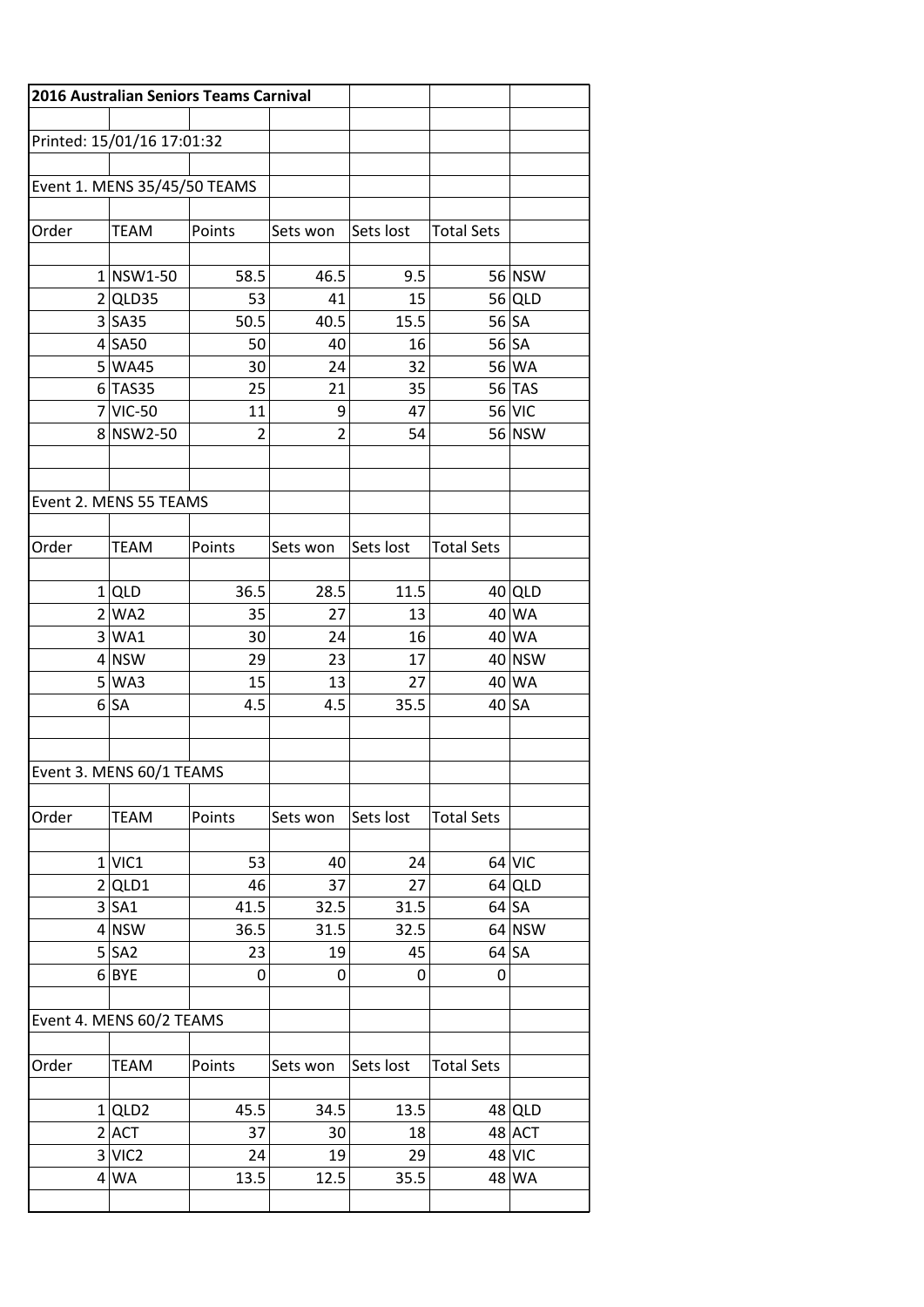|                          |                              | 2016 Australian Seniors Teams Carnival |                |           |                   |          |
|--------------------------|------------------------------|----------------------------------------|----------------|-----------|-------------------|----------|
|                          |                              |                                        |                |           |                   |          |
|                          | Printed: 15/01/16 17:01:32   |                                        |                |           |                   |          |
|                          |                              |                                        |                |           |                   |          |
|                          | Event 1. MENS 35/45/50 TEAMS |                                        |                |           |                   |          |
|                          |                              |                                        |                |           |                   |          |
| Order                    | <b>TEAM</b>                  | Points                                 | Sets won       | Sets lost | <b>Total Sets</b> |          |
|                          | $1$ NSW1-50                  |                                        | 46.5           | 9.5       |                   | 56 NSW   |
|                          | $2$ QLD35                    | 58.5<br>53                             | 41             | 15        |                   | $56$ QLD |
|                          | $3 S_A35$                    | 50.5                                   | 40.5           | 15.5      |                   | $56$ SA  |
|                          | $4$ SA50                     | 50                                     | 40             | 16        |                   | 56 SA    |
|                          | 5 WA45                       | 30                                     | 24             | 32        |                   | 56 WA    |
|                          | $6$ TAS35                    | 25                                     | 21             | 35        |                   | 56 TAS   |
|                          | $7$ VIC-50                   | 11                                     | 9              | 47        |                   | 56 VIC   |
|                          | 8 NSW2-50                    | $\overline{2}$                         | $\overline{2}$ | 54        |                   | 56 NSW   |
|                          |                              |                                        |                |           |                   |          |
|                          |                              |                                        |                |           |                   |          |
|                          | Event 2. MENS 55 TEAMS       |                                        |                |           |                   |          |
|                          |                              |                                        |                |           |                   |          |
| Order                    | <b>TEAM</b>                  | Points                                 | Sets won       | Sets lost | <b>Total Sets</b> |          |
|                          |                              |                                        |                |           |                   |          |
|                          | $1$ QLD                      | 36.5                                   | 28.5           | 11.5      |                   | $40$ QLD |
|                          | 2 WA2                        | 35                                     | 27             | 13        |                   | 40 WA    |
|                          | 3 WA1                        | 30                                     | 24             | 16        |                   | 40 WA    |
|                          | $4$ NSW                      | 29                                     | 23             | 17        |                   | 40 NSW   |
|                          | 5 WA3                        | 15                                     | 13             | 27        |                   | 40 WA    |
|                          | 6 SA                         | 4.5                                    | 4.5            | 35.5      |                   | $40$ SA  |
|                          |                              |                                        |                |           |                   |          |
|                          |                              |                                        |                |           |                   |          |
| Event 3. MENS 60/1 TEAMS |                              |                                        |                |           |                   |          |
| Order                    | <b>TEAM</b>                  | Points                                 | Sets won       | Sets lost | <b>Total Sets</b> |          |
|                          |                              |                                        |                |           |                   |          |
|                          | $1$ VIC1                     | 53                                     | 40             | 24        |                   | $64$ VIC |
|                          | $2$ QLD1                     | 46                                     | 37             | 27        |                   | $64$ QLD |
|                          | $3$ SA1                      | 41.5                                   | 32.5           | 31.5      |                   | $64$ SA  |
|                          | $4$ NSW                      | 36.5                                   | 31.5           | 32.5      |                   | $64$ NSW |
|                          | 5 SA2                        | 23                                     | 19             | 45        |                   | $64$ SA  |
|                          | $6 $ BYE                     | 0                                      | 0              | 0         | 0                 |          |
|                          |                              |                                        |                |           |                   |          |
|                          | Event 4. MENS 60/2 TEAMS     |                                        |                |           |                   |          |
|                          |                              |                                        |                |           |                   |          |
| Order                    | <b>TEAM</b>                  | Points                                 | Sets won       | Sets lost | <b>Total Sets</b> |          |
|                          | $1$ QLD2                     | 45.5                                   | 34.5           | 13.5      |                   | 48 QLD   |
|                          | $2$ $ $ ACT                  | 37                                     | 30             | 18        |                   | 48 ACT   |
|                          | 3 VIC2                       | 24                                     | 19             | 29        |                   | 48 VIC   |
|                          | $4$ WA                       | 13.5                                   | 12.5           | 35.5      |                   | 48 WA    |
|                          |                              |                                        |                |           |                   |          |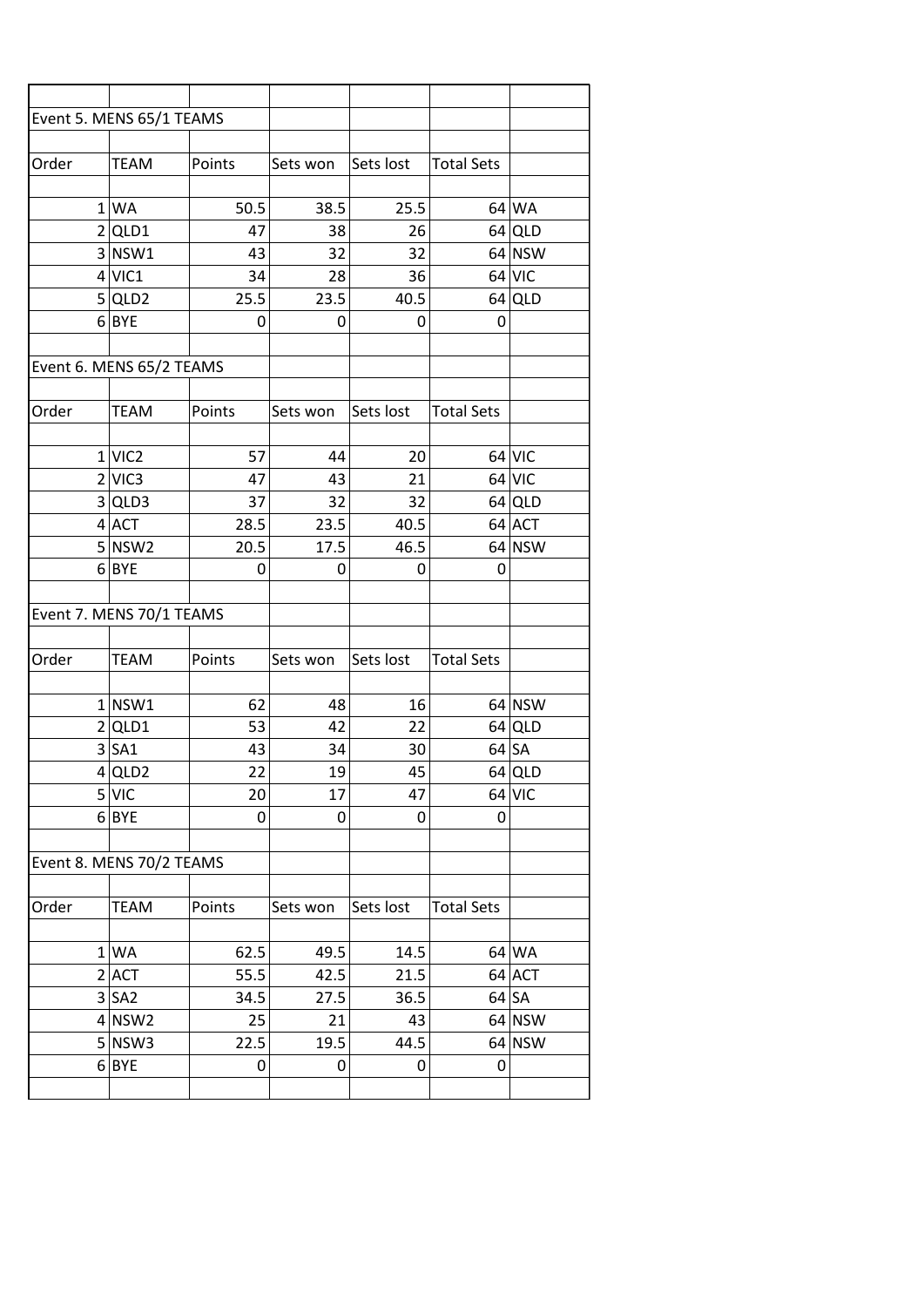| Event 5. MENS 65/1 TEAMS |                                                   |             |                    |           |                   |          |
|--------------------------|---------------------------------------------------|-------------|--------------------|-----------|-------------------|----------|
| Order                    | <b>TEAM</b>                                       | Points      | Sets won Sets lost |           | <b>Total Sets</b> |          |
|                          |                                                   |             |                    |           |                   |          |
|                          | 1 WA                                              | 50.5        | 38.5               | 25.5      |                   | 64 WA    |
|                          | $2$ QLD1                                          | 47          | 38                 | 26        |                   | $64$ QLD |
|                          | 3 NSW1                                            | 43          | 32                 | 32        |                   | $64$ NSW |
|                          | $4$ VIC1                                          | 34          | 28                 | 36        |                   | $64$ VIC |
|                          | 5 QLD2                                            | 25.5        | 23.5               | 40.5      |                   | $64$ QLD |
|                          | $6 $ BYE                                          | $\mathbf 0$ | 0                  | 0         | 0                 |          |
|                          |                                                   |             |                    |           |                   |          |
|                          | Event 6. MENS 65/2 TEAMS                          |             |                    |           |                   |          |
| Order                    | <b>TEAM</b>                                       | Points      | Sets won           | Sets lost | <b>Total Sets</b> |          |
|                          | $1$ VIC <sub>2</sub>                              | 57          | 44                 | 20        |                   | $64$ VIC |
|                          | $2$ VIC3                                          | 47          | 43                 | 21        |                   | $64$ VIC |
|                          | 3 QLD3                                            | 37          | 32                 | 32        |                   | $64$ QLD |
|                          | $4$ ACT                                           | 28.5        | 23.5               | 40.5      |                   | $64$ ACT |
|                          |                                                   |             |                    |           |                   |          |
|                          |                                                   |             |                    |           |                   |          |
|                          | $5 $ NSW2<br>$6 $ BYE<br>Event 7. MENS 70/1 TEAMS | 20.5<br>0   | 17.5<br>0          | 46.5<br>0 | 0                 | $64$ NSW |
|                          |                                                   |             |                    |           |                   |          |
|                          | <b>TEAM</b>                                       | Points      | Sets won           | Sets lost | <b>Total Sets</b> |          |
|                          | $1 $ NSW1                                         | 62          | 48                 | 16        |                   | $64$ NSW |
| Order                    | $2$ QLD1                                          | 53          | 42                 | 22        |                   | $64$ QLD |
|                          | $3$ $SA1$                                         | 43          | 34                 | 30        |                   | $64$ SA  |
|                          | $4$ QLD2                                          | 22          | 19                 | 45        |                   | $64$ QLD |
|                          | 5 V/C                                             | 20          | 17                 | 47        |                   | $64$ VIC |
|                          | $6 $ BYE                                          | 0           | 0                  | 0         | 0                 |          |
|                          | Event 8. MENS 70/2 TEAMS                          |             |                    |           |                   |          |
| Order                    | <b>TEAM</b>                                       | Points      | Sets won           | Sets lost |                   |          |
|                          |                                                   |             |                    |           | <b>Total Sets</b> |          |
|                          | 1 WA                                              | 62.5        | 49.5               | 14.5      |                   | 64 WA    |
|                          | $2$ ACT                                           | 55.5        | 42.5               | 21.5      |                   | 64 ACT   |
|                          | 3 SA2                                             | 34.5        | 27.5               | 36.5      |                   | $64$ SA  |
|                          | $4$ NSW2                                          | 25          | 21                 | 43        |                   | $64$ NSW |
|                          | $5 $ NSW3<br>$6$ BYE                              | 22.5<br>0   | 19.5<br>0          | 44.5<br>0 | 0                 | $64$ NSW |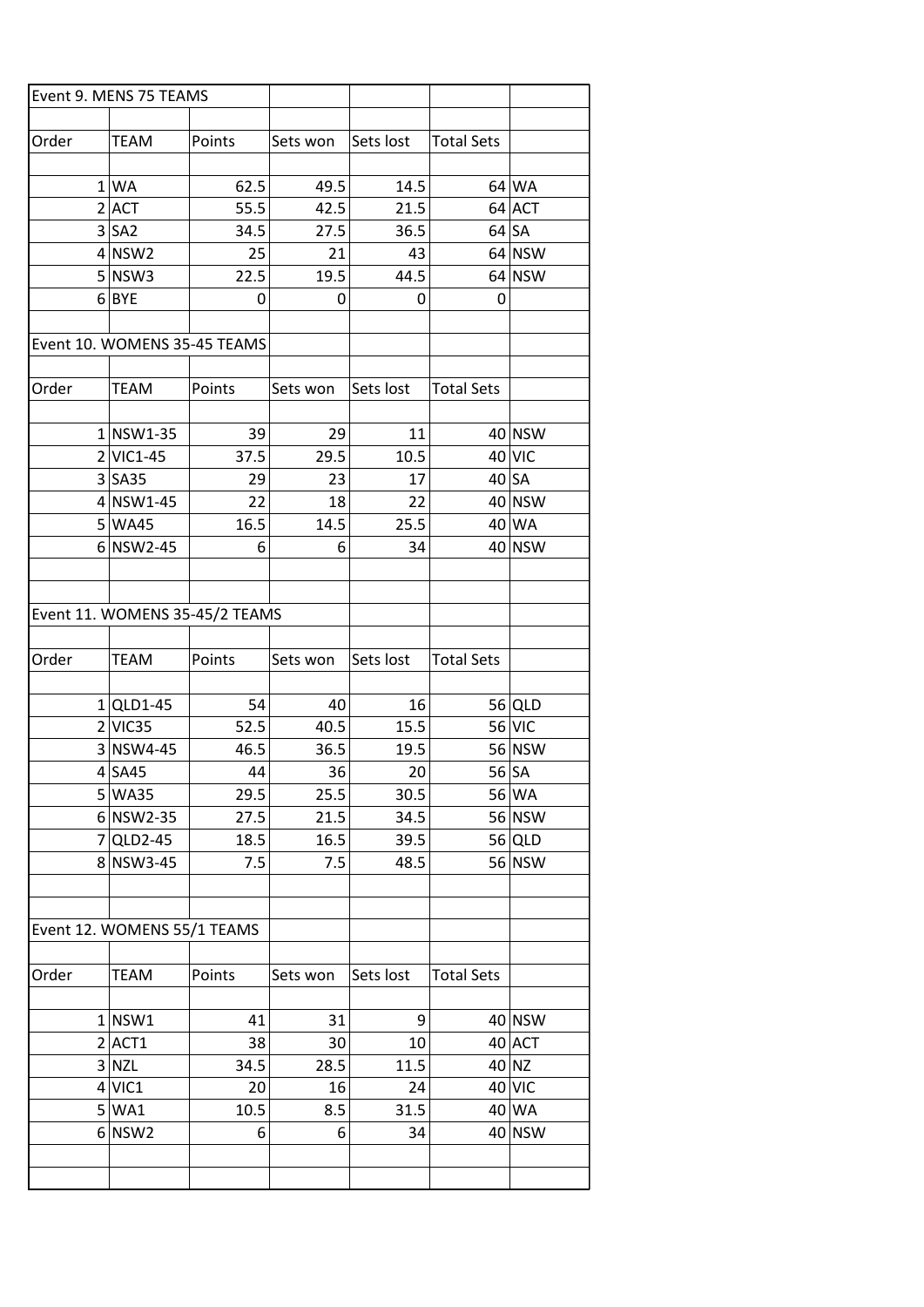| Event 9. MENS 75 TEAMS |                             |                                |            |            |                   |                 |
|------------------------|-----------------------------|--------------------------------|------------|------------|-------------------|-----------------|
| Order                  | <b>TEAM</b>                 | Points                         | Sets won   | Sets lost  | <b>Total Sets</b> |                 |
|                        |                             |                                |            |            |                   |                 |
|                        | 1 WA                        | 62.5                           | 49.5       | 14.5       |                   | 64 WA           |
|                        | $2$ $ACT$                   | 55.5                           | 42.5       | 21.5       |                   | 64 ACT          |
|                        | 3 SA2                       | 34.5                           | 27.5       | 36.5       |                   | 64 SA           |
|                        | $4$ NSW2                    | 25                             | 21         | 43         |                   | 64 NSW          |
|                        | $5 $ NSW3                   | 22.5                           | 19.5       | 44.5       |                   | 64 NSW          |
|                        | $6 $ BYE                    | 0                              | 0          | 0          | 0                 |                 |
|                        |                             |                                |            |            |                   |                 |
|                        |                             | Event 10. WOMENS 35-45 TEAMS   |            |            |                   |                 |
|                        |                             |                                |            |            |                   |                 |
| Order                  | <b>TEAM</b>                 | Points                         | Sets won   | Sets lost  | <b>Total Sets</b> |                 |
|                        |                             |                                |            |            |                   |                 |
|                        | $1 $ NSW1-35                | 39                             | 29         | 11         |                   | 40 NSW          |
|                        | $2$ VIC1-45                 | 37.5                           | 29.5       | 10.5       |                   | 40 VIC          |
|                        | $3 S$ A35                   | 29                             | 23         | 17         |                   | $40$ SA         |
|                        | $4$ NSW1-45                 | 22                             | 18         | 22         |                   | 40 NSW          |
|                        | 5 WA45                      | 16.5                           | 14.5       | 25.5       |                   | 40 WA           |
|                        | $6 NSW2-45$                 | 6                              | 6          | 34         |                   | 40 NSW          |
|                        |                             |                                |            |            |                   |                 |
|                        |                             |                                |            |            |                   |                 |
|                        |                             | Event 11. WOMENS 35-45/2 TEAMS |            |            |                   |                 |
|                        |                             |                                |            |            |                   |                 |
| Order                  | <b>TEAM</b>                 | Points                         | Sets won   | Sets lost  | <b>Total Sets</b> |                 |
|                        |                             |                                |            |            |                   |                 |
|                        | $1 QLD1-45$                 | 54                             | 40         | 16         |                   | $56$ QLD        |
|                        | 2 VIC35                     | 52.5                           | 40.5       | 15.5       |                   | 56 VIC          |
|                        | $3 NSW4-45$                 | 46.5                           | 36.5       | 19.5       |                   | 56 NSW          |
|                        | $4$ SA45                    | 44                             | 36         | 20         |                   | 56 SA           |
|                        | 5 WA35                      | 29.5                           | 25.5       | 30.5       |                   | 56 WA           |
|                        | $6$ NSW2-35                 | 27.5                           | 21.5       | 34.5       |                   | 56 NSW          |
|                        | $7 QLD2-45$                 | 18.5                           | 16.5       | 39.5       |                   | $56$ QLD        |
|                        | 8 NSW3-45                   | 7.5                            | 7.5        | 48.5       |                   | 56 NSW          |
|                        |                             |                                |            |            |                   |                 |
|                        |                             |                                |            |            |                   |                 |
|                        | Event 12. WOMENS 55/1 TEAMS |                                |            |            |                   |                 |
|                        |                             |                                |            |            |                   |                 |
| Order                  | <b>TEAM</b>                 | Points                         | Sets won   | Sets lost  | <b>Total Sets</b> |                 |
|                        |                             |                                |            |            |                   |                 |
|                        | $1 $ NSW1                   | 41                             | 31         | 9          |                   | 40 NSW          |
|                        | $2$ ACT1<br>3 NZL           | 38<br>34.5                     | 30<br>28.5 | 10<br>11.5 |                   | 40 ACT<br>40 NZ |
|                        | $4$ VIC1                    | 20                             |            |            |                   | 40 VIC          |
|                        | 5 WA1                       | 10.5                           | 16<br>8.5  | 24<br>31.5 |                   | 40 WA           |
|                        | 6 NSW2                      | 6                              | 6          | 34         |                   | 40 NSW          |
|                        |                             |                                |            |            |                   |                 |
|                        |                             |                                |            |            |                   |                 |
|                        |                             |                                |            |            |                   |                 |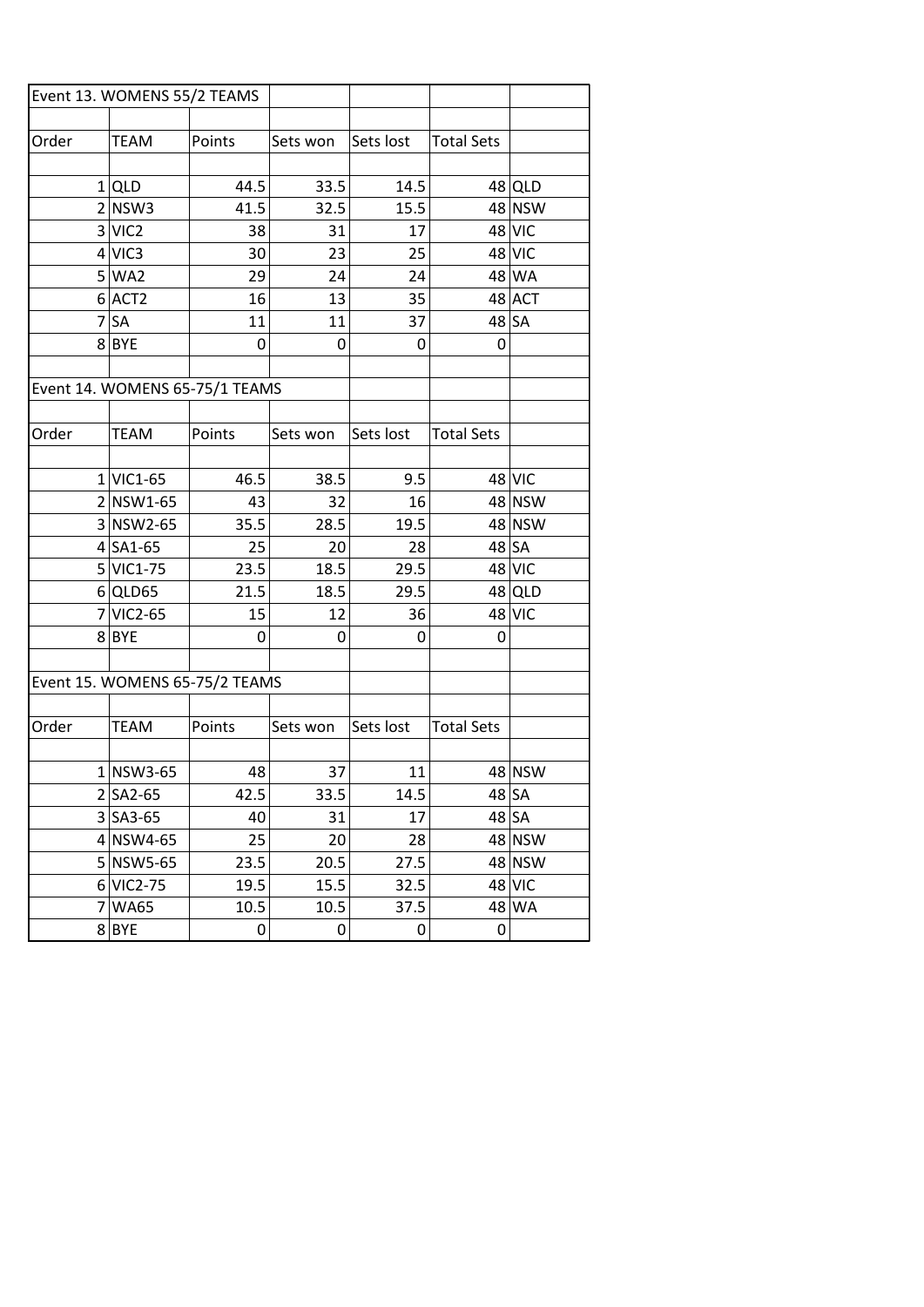|       | Event 13. WOMENS 55/2 TEAMS |                                |          |           |                   |               |
|-------|-----------------------------|--------------------------------|----------|-----------|-------------------|---------------|
|       |                             |                                |          |           |                   |               |
| Order | <b>TEAM</b>                 | Points                         | Sets won | Sets lost | <b>Total Sets</b> |               |
|       | 1 QLD                       | 44.5                           | 33.5     | 14.5      |                   | 48 QLD        |
|       | 2 NSW3                      | 41.5                           | 32.5     | 15.5      |                   | 48 NSW        |
|       | 3 VIC2                      | 38                             | 31       | 17        |                   | <b>48 VIC</b> |
|       | $4$ VIC3                    | 30                             | 23       | 25        |                   | 48 VIC        |
|       | 5 WA2                       | 29                             | 24       | 24        |                   | 48 WA         |
|       | $6$ $ACT2$                  | 16                             | 13       | 35        |                   | 48 ACT        |
|       | $7$ $SA$                    | 11                             | 11       | 37        |                   | $48$ SA       |
|       | 8BYE                        | 0                              | 0        | 0         | 0                 |               |
|       |                             |                                |          |           |                   |               |
|       |                             | Event 14. WOMENS 65-75/1 TEAMS |          |           |                   |               |
|       |                             |                                |          |           |                   |               |
| Order | <b>TEAM</b>                 | Points                         | Sets won | Sets lost | <b>Total Sets</b> |               |
|       |                             |                                |          |           |                   |               |
|       | $1$ VIC1-65                 | 46.5                           | 38.5     | 9.5       |                   | $48$ VIC      |
|       | $2 NSW1-65$                 | 43                             | 32       | 16        |                   | 48 NSW        |
|       | $3 $ NSW2-65                | 35.5                           | 28.5     | 19.5      |                   | 48 NSW        |
|       | $4$ SA1-65                  | 25                             | 20       | 28        |                   | 48 SA         |
|       | 5 VIC1-75                   | 23.5                           | 18.5     | 29.5      |                   | 48 VIC        |
|       | $6$ QLD65                   | 21.5                           | 18.5     | 29.5      |                   | $48$ QLD      |
|       | 7 VIC2-65                   | 15                             | 12       | 36        |                   | 48 VIC        |
|       | 8BYE                        | 0                              | 0        | 0         | 0                 |               |
|       |                             |                                |          |           |                   |               |
|       |                             | Event 15. WOMENS 65-75/2 TEAMS |          |           |                   |               |
|       |                             |                                |          |           |                   |               |
| Order | <b>TEAM</b>                 | Points                         | Sets won | Sets lost | <b>Total Sets</b> |               |
|       |                             |                                |          |           |                   |               |
|       | $1 $ NSW3-65                | 48                             | 37       | 11        |                   | 48 NSW        |
|       | $2 SA2-65$                  | 42.5                           | 33.5     | 14.5      |                   | 48 SA         |
|       | $3$ SA3-65                  | 40                             | 31       | 17        |                   | 48 SA         |
|       | $4$ NSW4-65                 | 25                             | 20       | 28        |                   | 48 NSW        |
|       | 5 NSW5-65                   | 23.5                           | 20.5     | 27.5      |                   | 48 NSW        |
|       | 6 VIC2-75                   | 19.5                           | 15.5     | 32.5      |                   | 48 VIC        |
|       | 7 WA65                      | 10.5                           | 10.5     | 37.5      | 48                | <b>WA</b>     |
|       | 8BYE                        | 0                              | 0        | 0         | 0                 |               |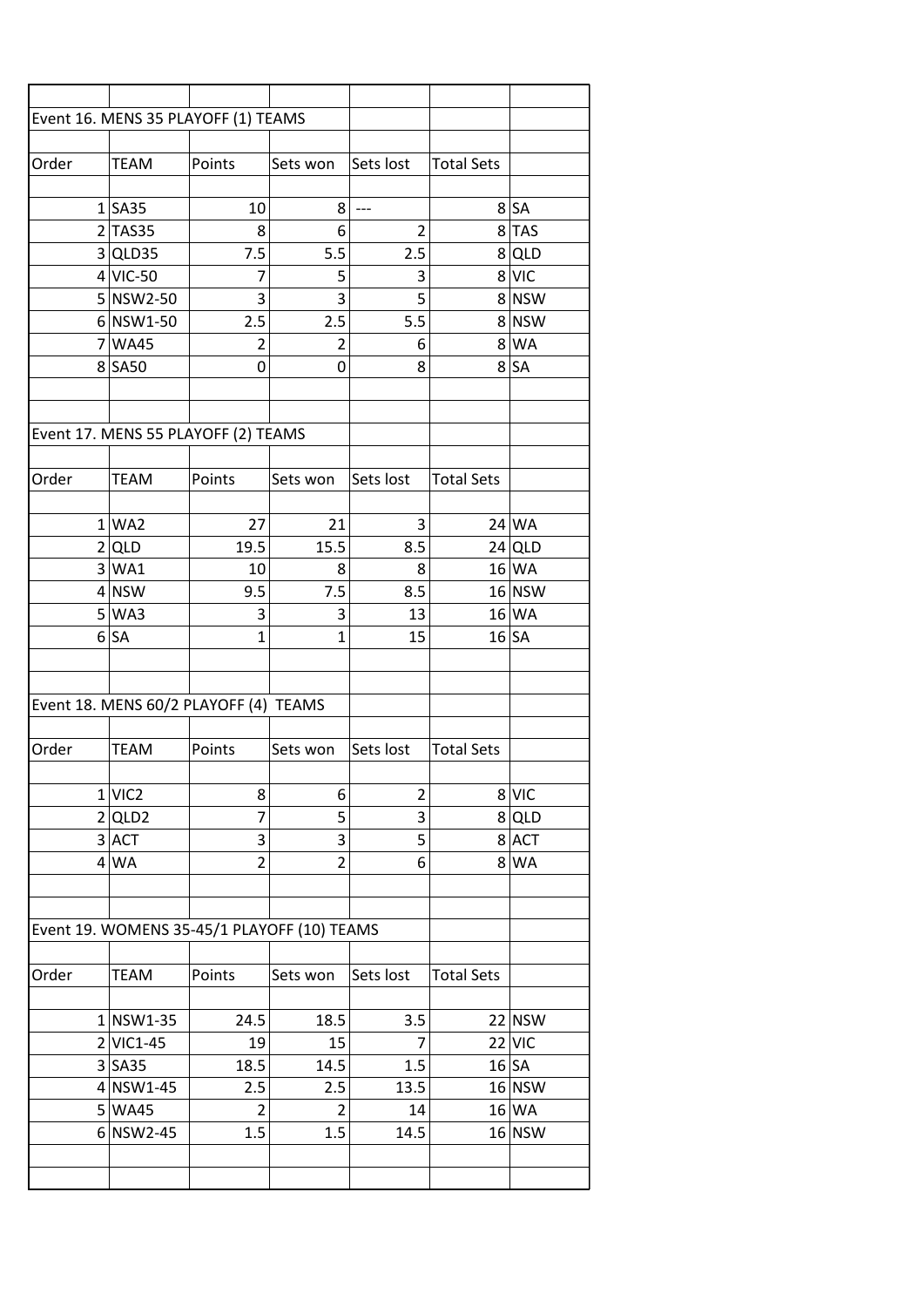|       |                      | Event 16. MENS 35 PLAYOFF (1) TEAMS         |                |                |                   |           |
|-------|----------------------|---------------------------------------------|----------------|----------------|-------------------|-----------|
|       |                      |                                             |                |                |                   |           |
| Order | <b>TEAM</b>          | Points                                      | Sets won       | Sets lost      | <b>Total Sets</b> |           |
|       |                      |                                             |                |                |                   |           |
|       | $1$ SA35             | 10                                          | 8              | $---$          |                   | $8$ $SA$  |
|       | $2$ TAS35            | 8                                           | 6              | $\overline{2}$ |                   | 8TAS      |
|       | 3 QLD35              | 7.5                                         | 5.5            | 2.5            |                   | 8 QLD     |
|       | $4$ VIC-50           | 7                                           | 5              | 3              |                   | 8 VIC     |
|       | 5 NSW2-50            | 3                                           | 3              | 5              |                   | 8 NSW     |
|       | $6$ NSW1-50          | 2.5                                         | 2.5            | 5.5            |                   | 8 NSW     |
|       | 7 WA45               | 2                                           | $\overline{2}$ | 6              |                   | 8 WA      |
|       | 8 SA50               | 0                                           | 0              | 8              |                   | 8 SA      |
|       |                      |                                             |                |                |                   |           |
|       |                      |                                             |                |                |                   |           |
|       |                      | Event 17. MENS 55 PLAYOFF (2) TEAMS         |                |                |                   |           |
|       |                      |                                             |                |                |                   |           |
| Order | <b>TEAM</b>          | Points                                      | Sets won       | Sets lost      | <b>Total Sets</b> |           |
|       |                      |                                             |                |                |                   |           |
|       | 1 WA2                | 27                                          | 21             | 3              |                   | 24 WA     |
|       | 2 QLD                | 19.5                                        | 15.5           | 8.5            |                   | $24$ QLD  |
|       | 3 WA1                | 10                                          | 8              | 8              |                   | 16 WA     |
|       | $4$ NSW              | 9.5                                         | 7.5            | 8.5            |                   | $16$ NSW  |
|       | 5 WA3                | 3                                           | 3              | 13             |                   | 16 WA     |
|       | 6 SA                 | $\mathbf{1}$                                | 1              | 15             |                   | $16$ SA   |
|       |                      |                                             |                |                |                   |           |
|       |                      |                                             |                |                |                   |           |
|       |                      | Event 18. MENS 60/2 PLAYOFF (4) TEAMS       |                |                |                   |           |
|       |                      |                                             |                |                |                   |           |
| Order | <b>TEAM</b>          | Points                                      | Sets won       | Sets lost      | <b>Total Sets</b> |           |
|       |                      |                                             |                |                |                   |           |
|       | $1$ VIC <sub>2</sub> | 8                                           | 6              | $\overline{2}$ |                   | 8 VIC     |
|       | $2$ QLD2             | 7                                           | 5              | 3              |                   | $8$ QLD   |
|       | $3$ ACT              | 3                                           | 3              | 5              |                   | $8$ $ACT$ |
|       | $4$ WA               | $\overline{2}$                              | $\overline{2}$ | 6              |                   | $8$ WA    |
|       |                      |                                             |                |                |                   |           |
|       |                      |                                             |                |                |                   |           |
|       |                      | Event 19. WOMENS 35-45/1 PLAYOFF (10) TEAMS |                |                |                   |           |
|       |                      |                                             |                |                |                   |           |
| Order | <b>TEAM</b>          | Points                                      | Sets won       | Sets lost      | <b>Total Sets</b> |           |
|       |                      |                                             |                |                |                   |           |
|       | $1$ NSW1-35          | 24.5                                        | 18.5           | 3.5            |                   | $22$ NSW  |
|       | $2$ VIC1-45          | 19                                          | 15             | 7              |                   | $22$ VIC  |
|       | 3 S <sub>A35</sub>   | 18.5                                        | 14.5           | 1.5            |                   | $16$ SA   |
|       | 4 NSW1-45            | 2.5                                         | 2.5            | 13.5           |                   | $16$ NSW  |
|       | 5 WA45               | 2                                           | 2              | 14             |                   | $16$ WA   |
|       | $6 $ NSW2-45         | 1.5                                         | 1.5            | 14.5           |                   | $16$ NSW  |
|       |                      |                                             |                |                |                   |           |
|       |                      |                                             |                |                |                   |           |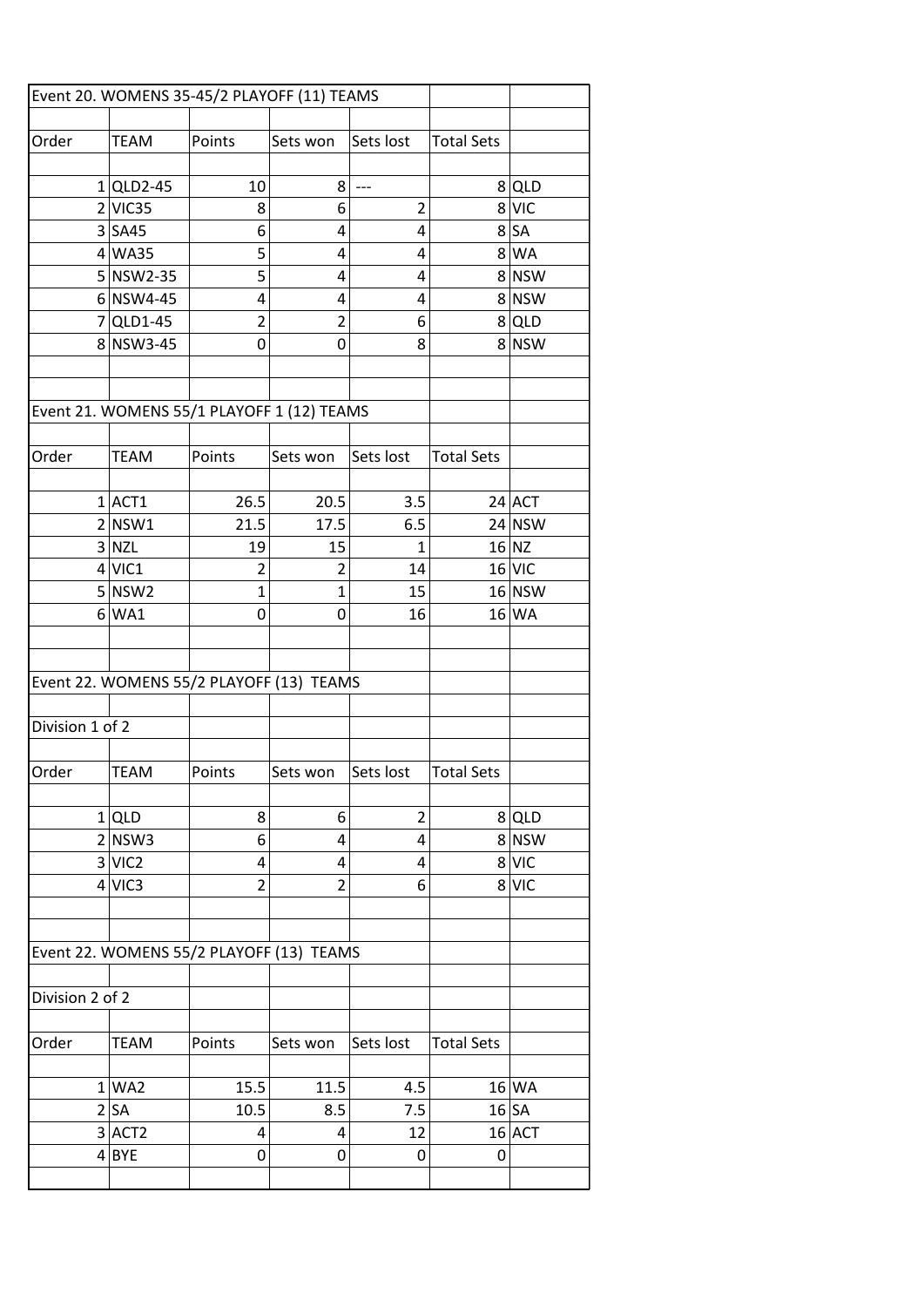|                 |                      | Event 20. WOMENS 35-45/2 PLAYOFF (11) TEAMS |                |                |                   |          |
|-----------------|----------------------|---------------------------------------------|----------------|----------------|-------------------|----------|
| Order           | <b>TEAM</b>          | Points                                      | Sets won       | Sets lost      | <b>Total Sets</b> |          |
|                 |                      |                                             |                |                |                   |          |
|                 | $1$  QLD2-45         | 10                                          | 8              | $---$          |                   | 8 QLD    |
|                 | $2$ VIC35            | 8                                           | 6              | $\overline{2}$ |                   | 8 VIC    |
|                 | $3$ SA45             | 6                                           | 4              | 4              |                   | $8$ $SA$ |
|                 | $4$ WA35             | 5                                           | 4              | 4              |                   | 8 WA     |
|                 | $5 $ NSW2-35         | 5                                           | 4              | 4              |                   | 8 NSW    |
|                 | $6$ NSW4-45          | 4                                           | 4              | 4              |                   | 8 NSW    |
|                 | $7$ QLD1-45          | $\overline{2}$                              | $\overline{2}$ | 6              |                   | $8$ QLD  |
|                 | 8 NSW3-45            | 0                                           | 0              | 8              |                   | 8 NSW    |
|                 |                      |                                             |                |                |                   |          |
|                 |                      |                                             |                |                |                   |          |
|                 |                      | Event 21. WOMENS 55/1 PLAYOFF 1 (12) TEAMS  |                |                |                   |          |
| Order           | <b>TEAM</b>          | Points                                      | Sets won       | Sets lost      | <b>Total Sets</b> |          |
|                 |                      |                                             |                |                |                   |          |
|                 | $1$ $ACT1$           | 26.5                                        | 20.5           | 3.5            |                   | 24 ACT   |
|                 | 2 NSW1               | 21.5                                        | 17.5           | 6.5            |                   | $24$ NSW |
|                 | 3 NZL                | 19                                          | 15             | $\mathbf{1}$   |                   | $16$ NZ  |
|                 | $4$ VIC1             | 2                                           | 2              | 14             |                   | $16$ VIC |
|                 | $5 $ NSW2            | $\mathbf{1}$                                | $\mathbf{1}$   | 15             |                   | 16 NSW   |
|                 | $6$ WA1              | 0                                           | 0              | 16             |                   | 16 WA    |
|                 |                      |                                             |                |                |                   |          |
|                 |                      |                                             |                |                |                   |          |
|                 |                      | Event 22. WOMENS 55/2 PLAYOFF (13) TEAMS    |                |                |                   |          |
| Division 1 of 2 |                      |                                             |                |                |                   |          |
|                 |                      |                                             |                |                |                   |          |
| Order           | <b>TEAM</b>          | Points                                      | Sets won       | Sets lost      | <b>Total Sets</b> |          |
|                 |                      |                                             |                |                |                   |          |
|                 | $1$ QLD              | 8                                           | 6              | $\overline{2}$ |                   | 8 QLD    |
|                 | 2 NSW3               | 6                                           | 4              | 4              |                   | 8 NSW    |
|                 | 3 VIC2               | 4                                           | 4              | 4              |                   | 8 VIC    |
|                 | 4 VIC3               | $\overline{2}$                              | $\overline{2}$ | 6              |                   | 8 VIC    |
|                 |                      |                                             |                |                |                   |          |
|                 |                      |                                             |                |                |                   |          |
|                 |                      | Event 22. WOMENS 55/2 PLAYOFF (13) TEAMS    |                |                |                   |          |
| Division 2 of 2 |                      |                                             |                |                |                   |          |
|                 |                      |                                             |                |                |                   |          |
| Order           | TEAM                 | Points                                      | Sets won       | Sets lost      | <b>Total Sets</b> |          |
|                 |                      |                                             |                |                |                   |          |
|                 | 1 WA2                | 15.5                                        | 11.5           | 4.5            |                   | 16 WA    |
|                 | 2 SA                 | 10.5                                        | 8.5            | 7.5            |                   | $16$ SA  |
|                 | $3$ ACT <sub>2</sub> | 4                                           | 4              | 12             |                   | $16$ ACT |
|                 | 4 BYE                | 0                                           | 0              | 0              | 0                 |          |
|                 |                      |                                             |                |                |                   |          |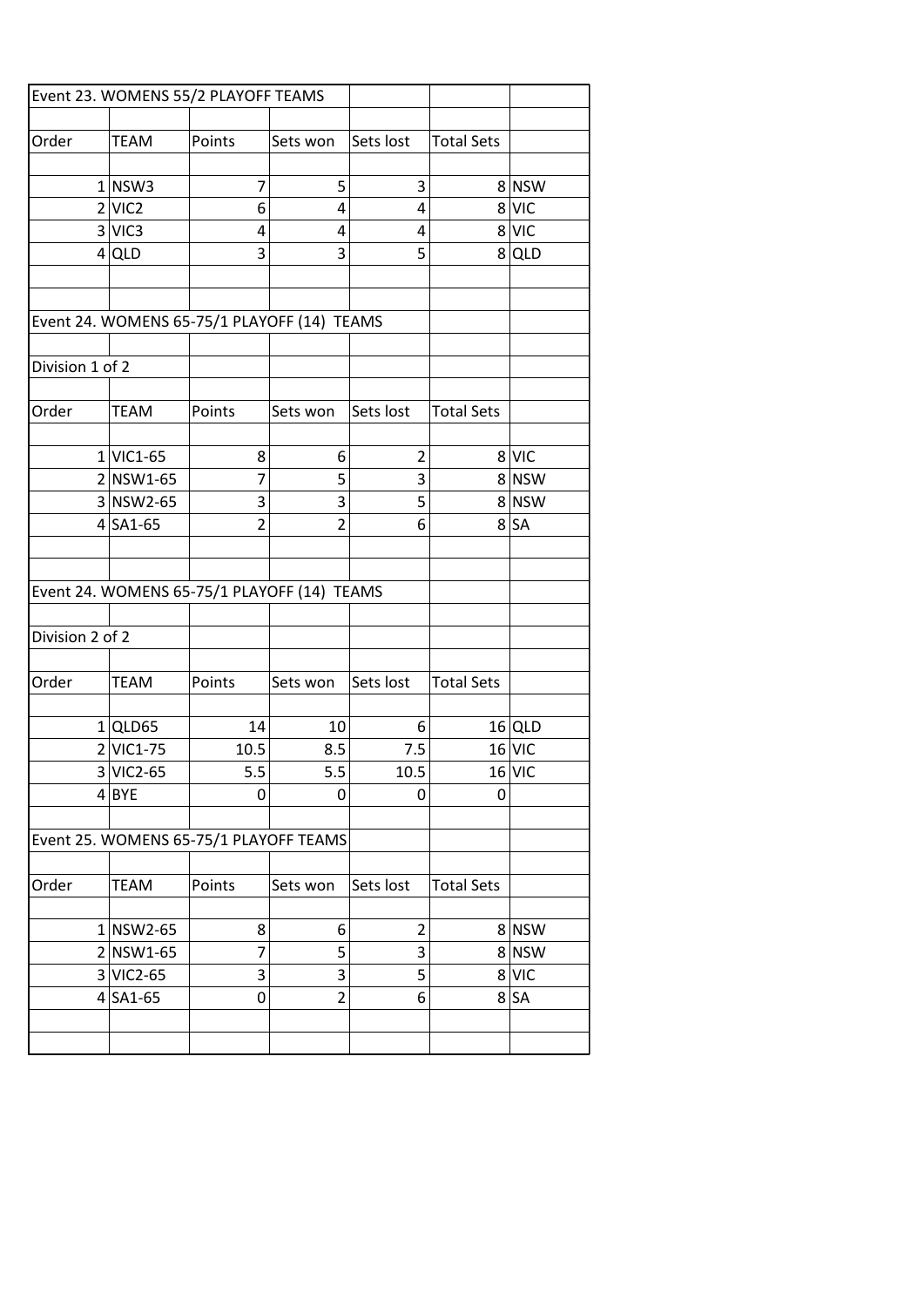|                 |                      | Event 23. WOMENS 55/2 PLAYOFF TEAMS         |                |                         |                   |          |
|-----------------|----------------------|---------------------------------------------|----------------|-------------------------|-------------------|----------|
|                 |                      |                                             |                |                         |                   |          |
| Order           | <b>TEAM</b>          | Points                                      | Sets won       | Sets lost               | <b>Total Sets</b> |          |
|                 |                      |                                             |                |                         |                   |          |
|                 | $1 $ NSW3            | $\overline{7}$                              | 5              | 3                       |                   | 8 NSW    |
|                 | $2$ VIC <sub>2</sub> | 6                                           | 4              | 4                       |                   | 8 VIC    |
|                 | 3 VIC3               | 4                                           | 4              | 4                       |                   | 8 VIC    |
|                 | $4$ QLD              | 3                                           | 3              | 5                       |                   | 8 QLD    |
|                 |                      |                                             |                |                         |                   |          |
|                 |                      | Event 24. WOMENS 65-75/1 PLAYOFF (14) TEAMS |                |                         |                   |          |
| Division 1 of 2 |                      |                                             |                |                         |                   |          |
|                 |                      |                                             |                |                         |                   |          |
| Order           | <b>TEAM</b>          | Points                                      | Sets won       | Sets lost               | <b>Total Sets</b> |          |
|                 |                      |                                             |                |                         |                   |          |
|                 | $1$ VIC1-65          | 8                                           | 6              | $\overline{2}$          |                   | 8 VIC    |
|                 | $2 NSW1-65$          | $\overline{7}$                              | 5              | 3                       |                   | 8 NSW    |
|                 | $3 NSW2-65$          | 3                                           | 3              | 5                       |                   | 8 NSW    |
|                 | $4$ SA1-65           | $\overline{2}$                              | $\overline{2}$ | 6                       |                   | $8$ $SA$ |
|                 |                      |                                             |                |                         |                   |          |
|                 |                      |                                             |                |                         |                   |          |
|                 |                      | Event 24. WOMENS 65-75/1 PLAYOFF (14) TEAMS |                |                         |                   |          |
|                 |                      |                                             |                |                         |                   |          |
| Division 2 of 2 |                      |                                             |                |                         |                   |          |
|                 |                      |                                             |                |                         |                   |          |
| Order           | <b>TEAM</b>          | Points                                      | Sets won       | Sets lost               | <b>Total Sets</b> |          |
|                 |                      |                                             |                |                         |                   |          |
|                 | $1$ QLD65            | 14                                          | 10             | 6                       |                   | $16$ QLD |
|                 | $2$ VIC1-75          | 10.5                                        | 8.5            | 7.5                     |                   | $16$ VIC |
|                 | $3 VIC2-65$          | 5.5                                         | 5.5            | 10.5                    |                   | $16$ VIC |
|                 | $4$ BYE              | 0                                           | 0              | 0                       | 0                 |          |
|                 |                      | Event 25. WOMENS 65-75/1 PLAYOFF TEAMS      |                |                         |                   |          |
|                 |                      |                                             |                |                         |                   |          |
| Order           | <b>TEAM</b>          | Points                                      | Sets won       | Sets lost               | <b>Total Sets</b> |          |
|                 |                      |                                             |                |                         |                   |          |
|                 | $1 $ NSW2-65         | 8                                           | 6              | $\overline{\mathbf{c}}$ |                   | 8 NSW    |
|                 | $2 NSW1-65$          | 7                                           | 5              | 3                       |                   | 8 NSW    |
|                 | $3 VIC2-65$          | 3                                           | 3              | 5                       |                   | 8 VIC    |
|                 | $4$ SA1-65           | 0                                           | $\overline{2}$ | 6                       |                   | 8 SA     |
|                 |                      |                                             |                |                         |                   |          |
|                 |                      |                                             |                |                         |                   |          |